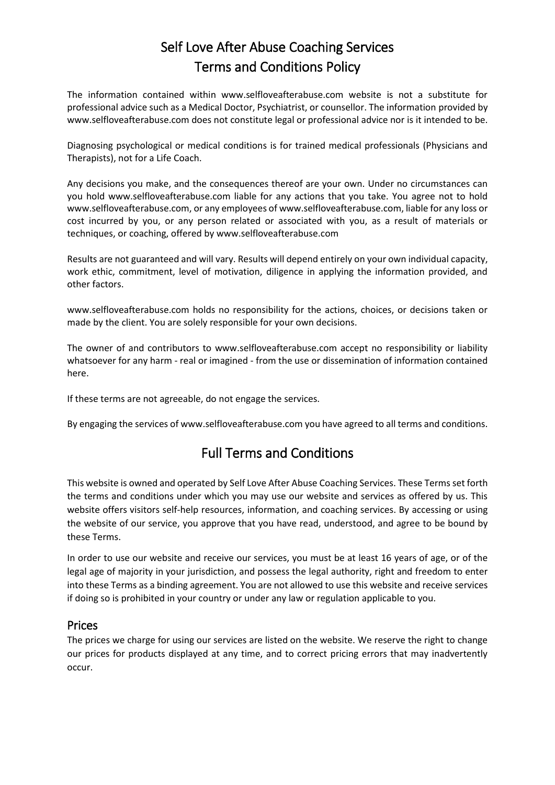# Self Love After Abuse Coaching Services Terms and Conditions Policy

The information contained within www.selfloveafterabuse.com website is not a substitute for professional advice such as a Medical Doctor, Psychiatrist, or counsellor. The information provided by www.selfloveafterabuse.com does not constitute legal or professional advice nor is it intended to be.

Diagnosing psychological or medical conditions is for trained medical professionals (Physicians and Therapists), not for a Life Coach.

Any decisions you make, and the consequences thereof are your own. Under no circumstances can you hold www.selfloveafterabuse.com liable for any actions that you take. You agree not to hold www.selfloveafterabuse.com, or any employees of www.selfloveafterabuse.com, liable for any loss or cost incurred by you, or any person related or associated with you, as a result of materials or techniques, or coaching, offered by www.selfloveafterabuse.com

Results are not guaranteed and will vary. Results will depend entirely on your own individual capacity, work ethic, commitment, level of motivation, diligence in applying the information provided, and other factors.

www.selfloveafterabuse.com holds no responsibility for the actions, choices, or decisions taken or made by the client. You are solely responsible for your own decisions.

The owner of and contributors to www.selfloveafterabuse.com accept no responsibility or liability whatsoever for any harm - real or imagined - from the use or dissemination of information contained here.

If these terms are not agreeable, do not engage the services.

By engaging the services of www.selfloveafterabuse.com you have agreed to all terms and conditions.

# Full Terms and Conditions

This website is owned and operated by Self Love After Abuse Coaching Services. These Terms set forth the terms and conditions under which you may use our website and services as offered by us. This website offers visitors self-help resources, information, and coaching services. By accessing or using the website of our service, you approve that you have read, understood, and agree to be bound by these Terms.

In order to use our website and receive our services, you must be at least 16 years of age, or of the legal age of majority in your jurisdiction, and possess the legal authority, right and freedom to enter into these Terms as a binding agreement. You are not allowed to use this website and receive services if doing so is prohibited in your country or under any law or regulation applicable to you.

#### Prices

The prices we charge for using our services are listed on the website. We reserve the right to change our prices for products displayed at any time, and to correct pricing errors that may inadvertently occur.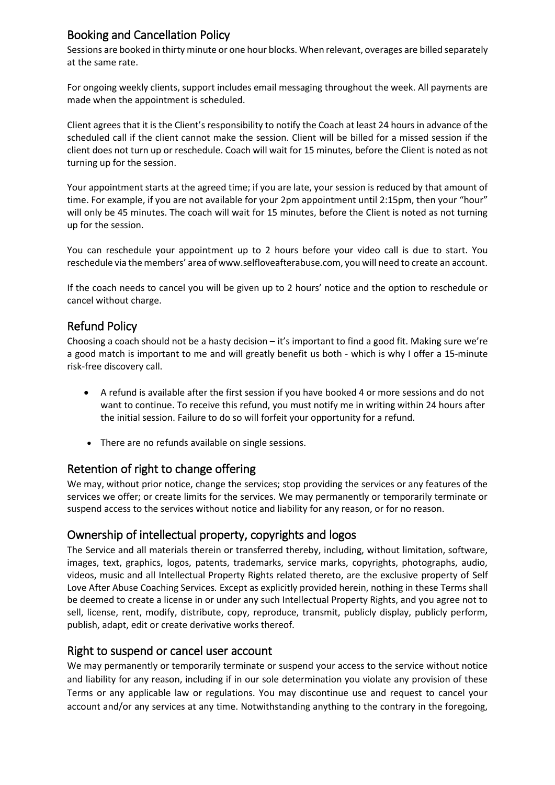# Booking and Cancellation Policy

Sessions are booked in thirty minute or one hour blocks. When relevant, overages are billed separately at the same rate.

For ongoing weekly clients, support includes email messaging throughout the week. All payments are made when the appointment is scheduled.

Client agrees that it is the Client's responsibility to notify the Coach at least 24 hours in advance of the scheduled call if the client cannot make the session. Client will be billed for a missed session if the client does not turn up or reschedule. Coach will wait for 15 minutes, before the Client is noted as not turning up for the session.

Your appointment starts at the agreed time; if you are late, your session is reduced by that amount of time. For example, if you are not available for your 2pm appointment until 2:15pm, then your "hour" will only be 45 minutes. The coach will wait for 15 minutes, before the Client is noted as not turning up for the session.

You can reschedule your appointment up to 2 hours before your video call is due to start. You reschedule via the members' area of www.selfloveafterabuse.com, you will need to create an account.

If the coach needs to cancel you will be given up to 2 hours' notice and the option to reschedule or cancel without charge.

## Refund Policy

Choosing a coach should not be a hasty decision – it's important to find a good fit. Making sure we're a good match is important to me and will greatly benefit us both - which is why I offer a 15-minute risk-free discovery call.

- A refund is available after the first session if you have booked 4 or more sessions and do not want to continue. To receive this refund, you must notify me in writing within 24 hours after the initial session. Failure to do so will forfeit your opportunity for a refund.
- There are no refunds available on single sessions.

# Retention of right to change offering

We may, without prior notice, change the services; stop providing the services or any features of the services we offer; or create limits for the services. We may permanently or temporarily terminate or suspend access to the services without notice and liability for any reason, or for no reason.

## Ownership of intellectual property, copyrights and logos

The Service and all materials therein or transferred thereby, including, without limitation, software, images, text, graphics, logos, patents, trademarks, service marks, copyrights, photographs, audio, videos, music and all Intellectual Property Rights related thereto, are the exclusive property of Self Love After Abuse Coaching Services*.* Except as explicitly provided herein, nothing in these Terms shall be deemed to create a license in or under any such Intellectual Property Rights, and you agree not to sell, license, rent, modify, distribute, copy, reproduce, transmit, publicly display, publicly perform, publish, adapt, edit or create derivative works thereof.

## Right to suspend or cancel user account

We may permanently or temporarily terminate or suspend your access to the service without notice and liability for any reason, including if in our sole determination you violate any provision of these Terms or any applicable law or regulations. You may discontinue use and request to cancel your account and/or any services at any time. Notwithstanding anything to the contrary in the foregoing,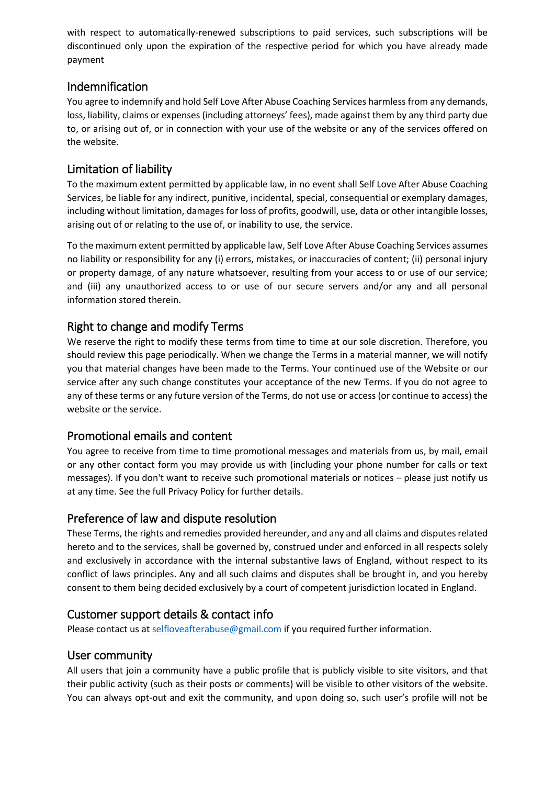with respect to automatically-renewed subscriptions to paid services, such subscriptions will be discontinued only upon the expiration of the respective period for which you have already made payment

## Indemnification

You agree to indemnify and hold Self Love After Abuse Coaching Services harmless from any demands, loss, liability, claims or expenses (including attorneys' fees), made against them by any third party due to, or arising out of, or in connection with your use of the website or any of the services offered on the website.

# Limitation of liability

To the maximum extent permitted by applicable law, in no event shall Self Love After Abuse Coaching Services, be liable for any indirect, punitive, incidental, special, consequential or exemplary damages, including without limitation, damages for loss of profits, goodwill, use, data or other intangible losses, arising out of or relating to the use of, or inability to use, the service.

To the maximum extent permitted by applicable law, Self Love After Abuse Coaching Services assumes no liability or responsibility for any (i) errors, mistakes, or inaccuracies of content; (ii) personal injury or property damage, of any nature whatsoever, resulting from your access to or use of our service; and (iii) any unauthorized access to or use of our secure servers and/or any and all personal information stored therein.

## Right to change and modify Terms

We reserve the right to modify these terms from time to time at our sole discretion. Therefore, you should review this page periodically. When we change the Terms in a material manner, we will notify you that material changes have been made to the Terms. Your continued use of the Website or our service after any such change constitutes your acceptance of the new Terms. If you do not agree to any of these terms or any future version of the Terms, do not use or access (or continue to access) the website or the service.

# Promotional emails and content

You agree to receive from time to time promotional messages and materials from us, by mail, email or any other contact form you may provide us with (including your phone number for calls or text messages). If you don't want to receive such promotional materials or notices – please just notify us at any time. See the full Privacy Policy for further details.

# Preference of law and dispute resolution

These Terms, the rights and remedies provided hereunder, and any and all claims and disputes related hereto and to the services, shall be governed by, construed under and enforced in all respects solely and exclusively in accordance with the internal substantive laws of England, without respect to its conflict of laws principles. Any and all such claims and disputes shall be brought in, and you hereby consent to them being decided exclusively by a court of competent jurisdiction located in England.

## Customer support details & contact info

Please contact us at [selfloveafterabuse@gmail.com](mailto:selfloveafterabuse@gmail.com) if you required further information.

## User community

All users that join a community have a public profile that is publicly visible to site visitors, and that their public activity (such as their posts or comments) will be visible to other visitors of the website. You can always opt-out and exit the community, and upon doing so, such user's profile will not be